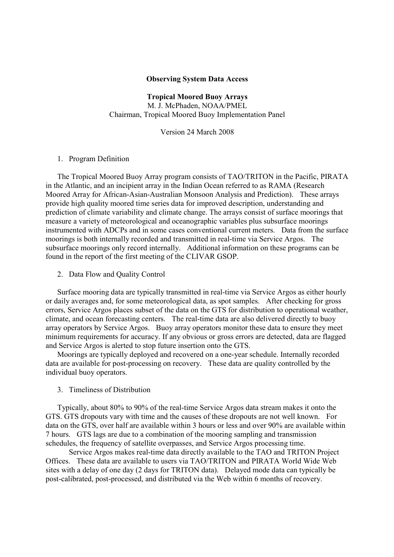## Observing System Data Access

Tropical Moored Buoy Arrays M. J. McPhaden, NOAA/PMEL Chairman, Tropical Moored Buoy Implementation Panel

Version 24 March 2008

## 1. Program Definition

The Tropical Moored Buoy Array program consists of TAO/TRITON in the Pacific, PIRATA in the Atlantic, and an incipient array in the Indian Ocean referred to as RAMA (Research Moored Array for African-Asian-Australian Monsoon Analysis and Prediction). These arrays provide high quality moored time series data for improved description, understanding and prediction of climate variability and climate change. The arrays consist of surface moorings that measure a variety of meteorological and oceanographic variables plus subsurface moorings instrumented with ADCPs and in some cases conventional current meters. Data from the surface moorings is both internally recorded and transmitted in real-time via Service Argos. The subsurface moorings only record internally. Additional information on these programs can be found in the report of the first meeting of the CLIVAR GSOP.

2. Data Flow and Quality Control

Surface mooring data are typically transmitted in real-time via Service Argos as either hourly or daily averages and, for some meteorological data, as spot samples. After checking for gross errors, Service Argos places subset of the data on the GTS for distribution to operational weather, climate, and ocean forecasting centers. The real-time data are also delivered directly to buoy array operators by Service Argos. Buoy array operators monitor these data to ensure they meet minimum requirements for accuracy. If any obvious or gross errors are detected, data are flagged and Service Argos is alerted to stop future insertion onto the GTS.

Moorings are typically deployed and recovered on a one-year schedule. Internally recorded data are available for post-processing on recovery. These data are quality controlled by the individual buoy operators.

3. Timeliness of Distribution

Typically, about 80% to 90% of the real-time Service Argos data stream makes it onto the GTS. GTS dropouts vary with time and the causes of these dropouts are not well known. For data on the GTS, over half are available within 3 hours or less and over 90% are available within 7 hours. GTS lags are due to a combination of the mooring sampling and transmission schedules, the frequency of satellite overpasses, and Service Argos processing time.

 Service Argos makes real-time data directly available to the TAO and TRITON Project Offices. These data are available to users via TAO/TRITON and PIRATA World Wide Web sites with a delay of one day (2 days for TRITON data). Delayed mode data can typically be post-calibrated, post-processed, and distributed via the Web within 6 months of recovery.